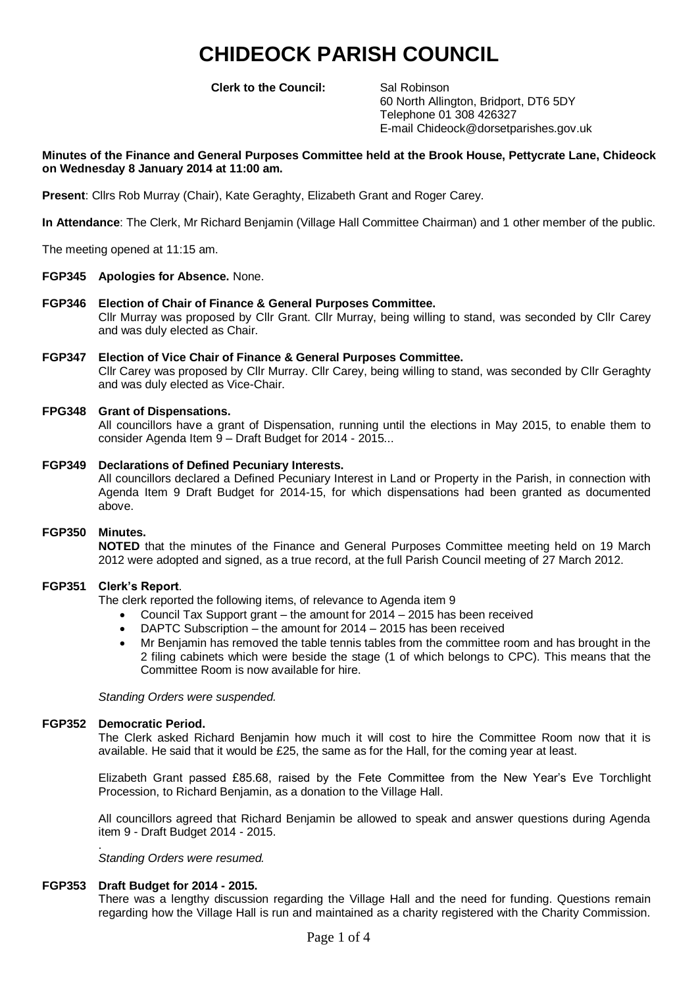# **CHIDEOCK PARISH COUNCIL**

**Clerk to the Council:** Sal Robinson

60 North Allington, Bridport, DT6 5DY Telephone 01 308 426327 E-mail Chideock@dorsetparishes.gov.uk

### **Minutes of the Finance and General Purposes Committee held at the Brook House, Pettycrate Lane, Chideock on Wednesday 8 January 2014 at 11:00 am.**

**Present**: Cllrs Rob Murray (Chair), Kate Geraghty, Elizabeth Grant and Roger Carey.

**In Attendance**: The Clerk, Mr Richard Benjamin (Village Hall Committee Chairman) and 1 other member of the public.

The meeting opened at 11:15 am.

#### **FGP345 Apologies for Absence.** None.

- **FGP346 Election of Chair of Finance & General Purposes Committee.** Cllr Murray was proposed by Cllr Grant. Cllr Murray, being willing to stand, was seconded by Cllr Carey and was duly elected as Chair.
- **FGP347 Election of Vice Chair of Finance & General Purposes Committee.** Cllr Carey was proposed by Cllr Murray. Cllr Carey, being willing to stand, was seconded by Cllr Geraghty and was duly elected as Vice-Chair.

#### **FPG348 Grant of Dispensations.**

All councillors have a grant of Dispensation, running until the elections in May 2015, to enable them to consider Agenda Item 9 – Draft Budget for 2014 - 2015...

**FGP349 Declarations of Defined Pecuniary Interests.** All councillors declared a Defined Pecuniary Interest in Land or Property in the Parish, in connection with Agenda Item 9 Draft Budget for 2014-15, for which dispensations had been granted as documented above.

#### **FGP350 Minutes.**

**NOTED** that the minutes of the Finance and General Purposes Committee meeting held on 19 March 2012 were adopted and signed, as a true record, at the full Parish Council meeting of 27 March 2012.

#### **FGP351 Clerk's Report**.

The clerk reported the following items, of relevance to Agenda item 9

- Council Tax Support grant the amount for 2014 2015 has been received
- DAPTC Subscription the amount for 2014 2015 has been received
- Mr Benjamin has removed the table tennis tables from the committee room and has brought in the 2 filing cabinets which were beside the stage (1 of which belongs to CPC). This means that the Committee Room is now available for hire.

*Standing Orders were suspended.*

#### **FGP352 Democratic Period.**

The Clerk asked Richard Benjamin how much it will cost to hire the Committee Room now that it is available. He said that it would be £25, the same as for the Hall, for the coming year at least.

Elizabeth Grant passed £85.68, raised by the Fete Committee from the New Year's Eve Torchlight Procession, to Richard Benjamin, as a donation to the Village Hall.

All councillors agreed that Richard Benjamin be allowed to speak and answer questions during Agenda item 9 - Draft Budget 2014 - 2015.

. *Standing Orders were resumed.*

#### **FGP353 Draft Budget for 2014 - 2015.**

There was a lengthy discussion regarding the Village Hall and the need for funding. Questions remain regarding how the Village Hall is run and maintained as a charity registered with the Charity Commission.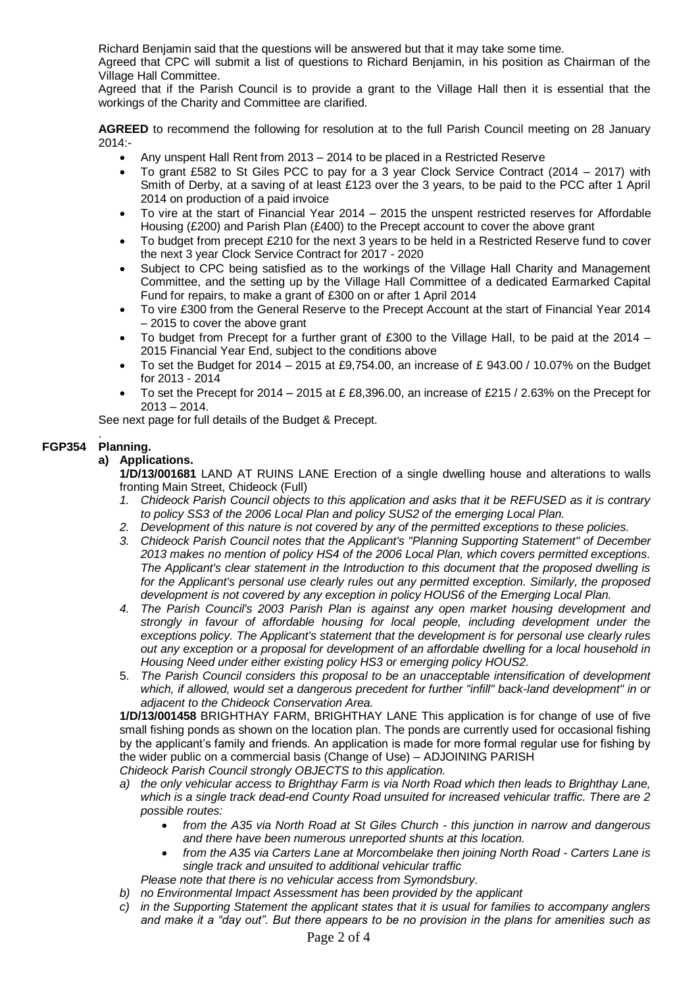Richard Benjamin said that the questions will be answered but that it may take some time.

Agreed that CPC will submit a list of questions to Richard Benjamin, in his position as Chairman of the Village Hall Committee.

Agreed that if the Parish Council is to provide a grant to the Village Hall then it is essential that the workings of the Charity and Committee are clarified.

**AGREED** to recommend the following for resolution at to the full Parish Council meeting on 28 January 2014:-

- Any unspent Hall Rent from 2013 2014 to be placed in a Restricted Reserve
- To grant £582 to St Giles PCC to pay for a 3 year Clock Service Contract (2014 2017) with Smith of Derby, at a saving of at least £123 over the 3 years, to be paid to the PCC after 1 April 2014 on production of a paid invoice
- To vire at the start of Financial Year 2014 2015 the unspent restricted reserves for Affordable Housing (£200) and Parish Plan (£400) to the Precept account to cover the above grant
- To budget from precept £210 for the next 3 years to be held in a Restricted Reserve fund to cover the next 3 year Clock Service Contract for 2017 - 2020
- Subject to CPC being satisfied as to the workings of the Village Hall Charity and Management Committee, and the setting up by the Village Hall Committee of a dedicated Earmarked Capital Fund for repairs, to make a grant of £300 on or after 1 April 2014
- To vire £300 from the General Reserve to the Precept Account at the start of Financial Year 2014 – 2015 to cover the above grant
- To budget from Precept for a further grant of £300 to the Village Hall, to be paid at the 2014 2015 Financial Year End, subject to the conditions above
- To set the Budget for  $2014 2015$  at £9,754.00, an increase of £ 943.00 / 10.07% on the Budget for 2013 - 2014
- To set the Precept for 2014 2015 at £ £8,396.00, an increase of £215 / 2.63% on the Precept for 2013 – 2014.

See next page for full details of the Budget & Precept.

#### . **FGP354 Planning.**

## **a) Applications.**

**1/D/13/001681** LAND AT RUINS LANE Erection of a single dwelling house and alterations to walls fronting Main Street, Chideock (Full)

- *1. Chideock Parish Council objects to this application and asks that it be REFUSED as it is contrary to policy SS3 of the 2006 Local Plan and policy SUS2 of the emerging Local Plan.*
- *2. Development of this nature is not covered by any of the permitted exceptions to these policies.*
- *3. Chideock Parish Council notes that the Applicant's "Planning Supporting Statement" of December 2013 makes no mention of policy HS4 of the 2006 Local Plan, which covers permitted exceptions. The Applicant's clear statement in the Introduction to this document that the proposed dwelling is for the Applicant's personal use clearly rules out any permitted exception. Similarly, the proposed development is not covered by any exception in policy HOUS6 of the Emerging Local Plan.*
- *4. The Parish Council's 2003 Parish Plan is against any open market housing development and strongly in favour of affordable housing for local people, including development under the exceptions policy. The Applicant's statement that the development is for personal use clearly rules out any exception or a proposal for development of an affordable dwelling for a local household in Housing Need under either existing policy HS3 or emerging policy HOUS2.*
- 5. *The Parish Council considers this proposal to be an unacceptable intensification of development which, if allowed, would set a dangerous precedent for further "infill" back-land development" in or adjacent to the Chideock Conservation Area.*

**1/D/13/001458** BRIGHTHAY FARM, BRIGHTHAY LANE This application is for change of use of five small fishing ponds as shown on the location plan. The ponds are currently used for occasional fishing by the applicant's family and friends. An application is made for more formal regular use for fishing by the wider public on a commercial basis (Change of Use) – ADJOINING PARISH *Chideock Parish Council strongly OBJECTS to this application.*

- *a) the only vehicular access to Brighthay Farm is via North Road which then leads to Brighthay Lane, which is a single track dead-end County Road unsuited for increased vehicular traffic. There are 2 possible routes:*
	- *from the A35 via North Road at St Giles Church - this junction in narrow and dangerous and there have been numerous unreported shunts at this location.*
	- *from the A35 via Carters Lane at Morcombelake then joining North Road - Carters Lane is single track and unsuited to additional vehicular traffic*
	- *Please note that there is no vehicular access from Symondsbury.*
- *b) no Environmental Impact Assessment has been provided by the applicant*
- *c) in the Supporting Statement the applicant states that it is usual for families to accompany anglers and make it a "day out". But there appears to be no provision in the plans for amenities such as*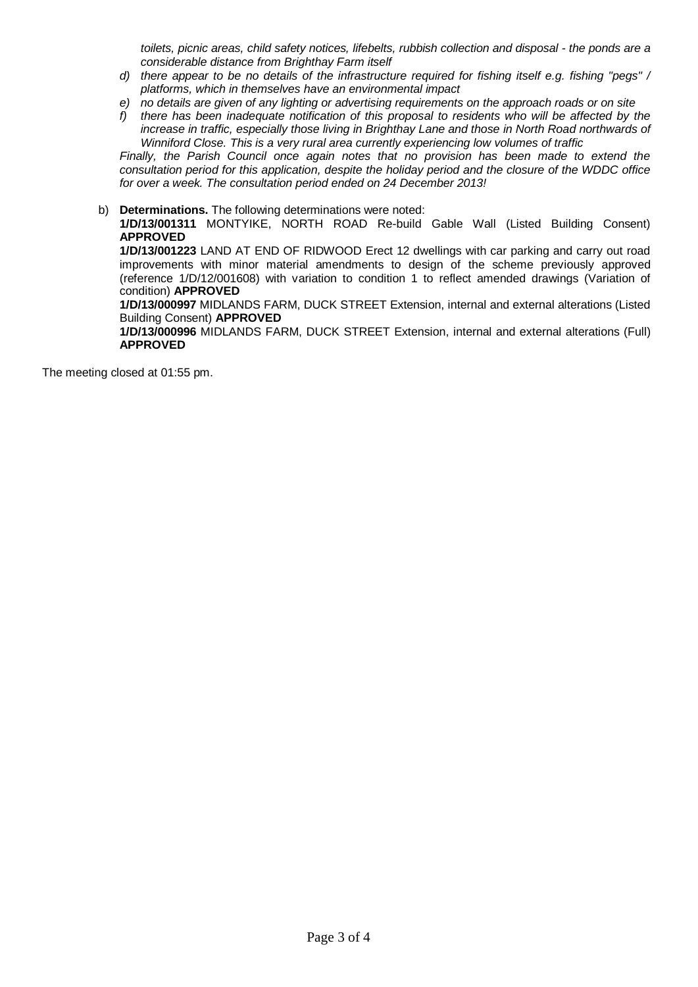*toilets, picnic areas, child safety notices, lifebelts, rubbish collection and disposal - the ponds are a considerable distance from Brighthay Farm itself*

- *d) there appear to be no details of the infrastructure required for fishing itself e.g. fishing "pegs" / platforms, which in themselves have an environmental impact*
- *e) no details are given of any lighting or advertising requirements on the approach roads or on site*
- *f) there has been inadequate notification of this proposal to residents who will be affected by the increase in traffic, especially those living in Brighthay Lane and those in North Road northwards of Winniford Close. This is a very rural area currently experiencing low volumes of traffic*

*Finally, the Parish Council once again notes that no provision has been made to extend the consultation period for this application, despite the holiday period and the closure of the WDDC office for over a week. The consultation period ended on 24 December 2013!*

#### b) **Determinations.** The following determinations were noted:

**1/D/13/001311** MONTYIKE, NORTH ROAD Re-build Gable Wall (Listed Building Consent) **APPROVED**

**1/D/13/001223** LAND AT END OF RIDWOOD Erect 12 dwellings with car parking and carry out road improvements with minor material amendments to design of the scheme previously approved (reference 1/D/12/001608) with variation to condition 1 to reflect amended drawings (Variation of condition) **APPROVED**

**1/D/13/000997** MIDLANDS FARM, DUCK STREET Extension, internal and external alterations (Listed Building Consent) **APPROVED** 

**1/D/13/000996** MIDLANDS FARM, DUCK STREET Extension, internal and external alterations (Full) **APPROVED**

The meeting closed at 01:55 pm.